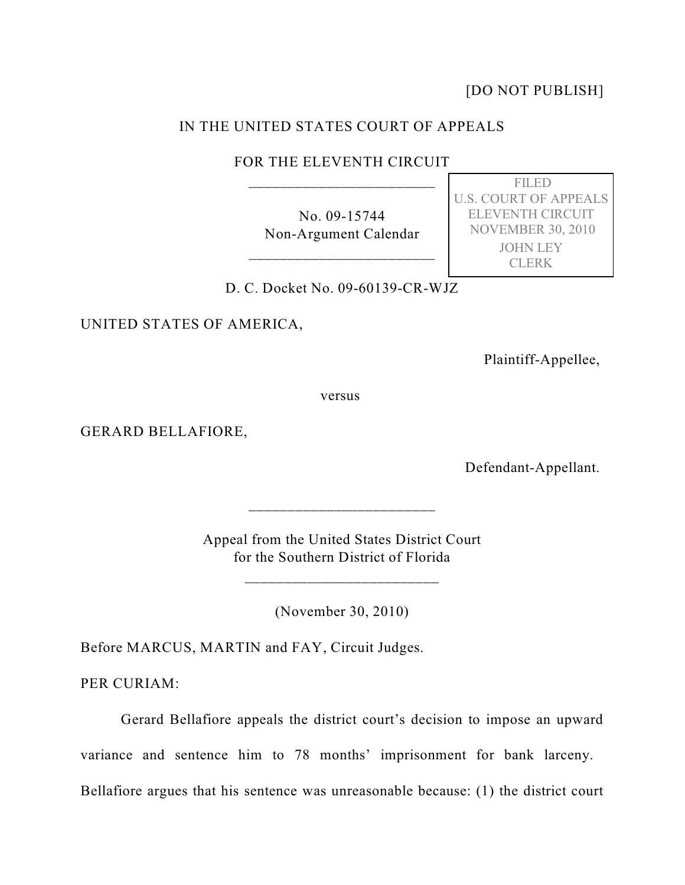[DO NOT PUBLISH]

## IN THE UNITED STATES COURT OF APPEALS

FOR THE ELEVENTH CIRCUIT \_\_\_\_\_\_\_\_\_\_\_\_\_\_\_\_\_\_\_\_\_\_\_\_

> No. 09-15744 Non-Argument Calendar

\_\_\_\_\_\_\_\_\_\_\_\_\_\_\_\_\_\_\_\_\_\_\_\_

 FILED U.S. COURT OF APPEALS ELEVENTH CIRCUIT NOVEMBER 30, 2010 JOHN LEY CLERK

D. C. Docket No. 09-60139-CR-WJZ

UNITED STATES OF AMERICA,

Plaintiff-Appellee,

versus

GERARD BELLAFIORE,

Defendant-Appellant.

Appeal from the United States District Court for the Southern District of Florida

 $\frac{1}{2}$  ,  $\frac{1}{2}$  ,  $\frac{1}{2}$  ,  $\frac{1}{2}$  ,  $\frac{1}{2}$  ,  $\frac{1}{2}$  ,  $\frac{1}{2}$  ,  $\frac{1}{2}$  ,  $\frac{1}{2}$  ,  $\frac{1}{2}$  ,  $\frac{1}{2}$  ,  $\frac{1}{2}$  ,  $\frac{1}{2}$  ,  $\frac{1}{2}$  ,  $\frac{1}{2}$  ,  $\frac{1}{2}$  ,  $\frac{1}{2}$  ,  $\frac{1}{2}$  ,  $\frac{1$ 

\_\_\_\_\_\_\_\_\_\_\_\_\_\_\_\_\_\_\_\_\_\_\_\_

(November 30, 2010)

Before MARCUS, MARTIN and FAY, Circuit Judges.

PER CURIAM:

Gerard Bellafiore appeals the district court's decision to impose an upward

variance and sentence him to 78 months' imprisonment for bank larceny.

Bellafiore argues that his sentence was unreasonable because: (1) the district court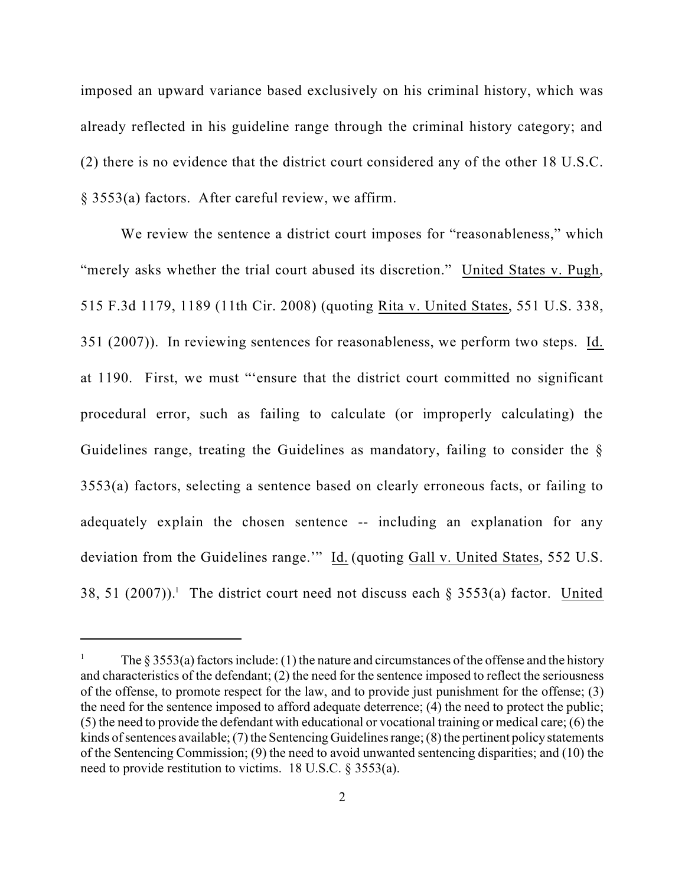imposed an upward variance based exclusively on his criminal history, which was already reflected in his guideline range through the criminal history category; and (2) there is no evidence that the district court considered any of the other 18 U.S.C. § 3553(a) factors. After careful review, we affirm.

We review the sentence a district court imposes for "reasonableness," which "merely asks whether the trial court abused its discretion." United States v. Pugh, 515 F.3d 1179, 1189 (11th Cir. 2008) (quoting Rita v. United States, 551 U.S. 338, 351 (2007)). In reviewing sentences for reasonableness, we perform two steps. Id. at 1190. First, we must "'ensure that the district court committed no significant procedural error, such as failing to calculate (or improperly calculating) the Guidelines range, treating the Guidelines as mandatory, failing to consider the § 3553(a) factors, selecting a sentence based on clearly erroneous facts, or failing to adequately explain the chosen sentence -- including an explanation for any deviation from the Guidelines range." Id. (quoting Gall v. United States, 552 U.S. 38, 51 (2007)).<sup>1</sup> The district court need not discuss each  $\S$  3553(a) factor. United

<sup>&</sup>lt;sup>1</sup> The § 3553(a) factors include: (1) the nature and circumstances of the offense and the history and characteristics of the defendant; (2) the need for the sentence imposed to reflect the seriousness of the offense, to promote respect for the law, and to provide just punishment for the offense; (3) the need for the sentence imposed to afford adequate deterrence; (4) the need to protect the public; (5) the need to provide the defendant with educational or vocational training or medical care; (6) the kinds of sentences available; (7) the Sentencing Guidelines range; (8) the pertinent policy statements of the Sentencing Commission; (9) the need to avoid unwanted sentencing disparities; and (10) the need to provide restitution to victims. 18 U.S.C. § 3553(a).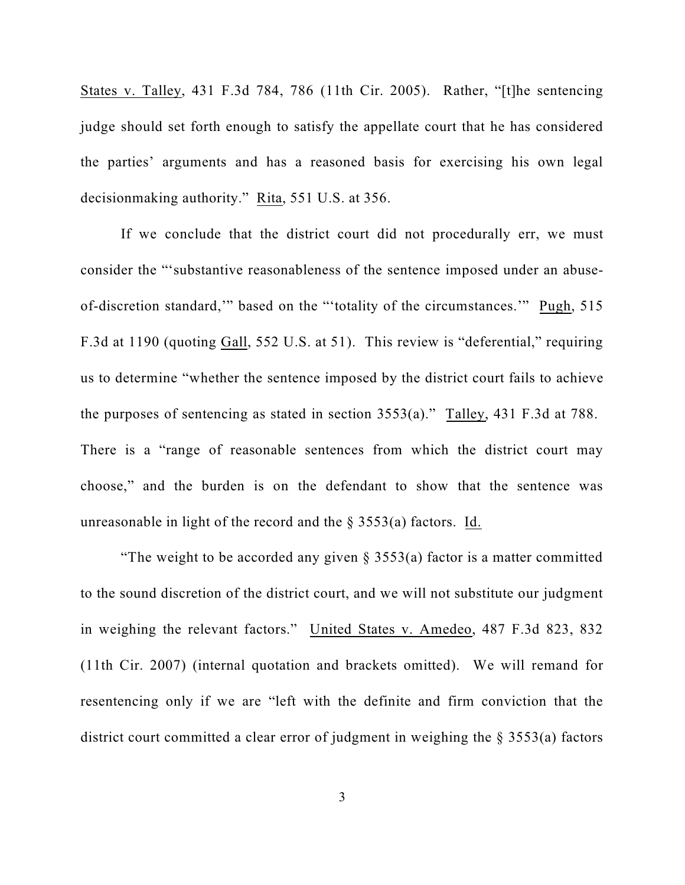States v. Talley, 431 F.3d 784, 786 (11th Cir. 2005). Rather, "[t]he sentencing judge should set forth enough to satisfy the appellate court that he has considered the parties' arguments and has a reasoned basis for exercising his own legal decisionmaking authority." Rita, 551 U.S. at 356.

If we conclude that the district court did not procedurally err, we must consider the "'substantive reasonableness of the sentence imposed under an abuseof-discretion standard,'" based on the "'totality of the circumstances.'" Pugh, 515 F.3d at 1190 (quoting Gall, 552 U.S. at 51). This review is "deferential," requiring us to determine "whether the sentence imposed by the district court fails to achieve the purposes of sentencing as stated in section 3553(a)." Talley, 431 F.3d at 788. There is a "range of reasonable sentences from which the district court may choose," and the burden is on the defendant to show that the sentence was unreasonable in light of the record and the  $\S$  3553(a) factors. Id.

"The weight to be accorded any given  $\S$  3553(a) factor is a matter committed to the sound discretion of the district court, and we will not substitute our judgment in weighing the relevant factors." United States v. Amedeo, 487 F.3d 823, 832 (11th Cir. 2007) (internal quotation and brackets omitted). We will remand for resentencing only if we are "left with the definite and firm conviction that the district court committed a clear error of judgment in weighing the § 3553(a) factors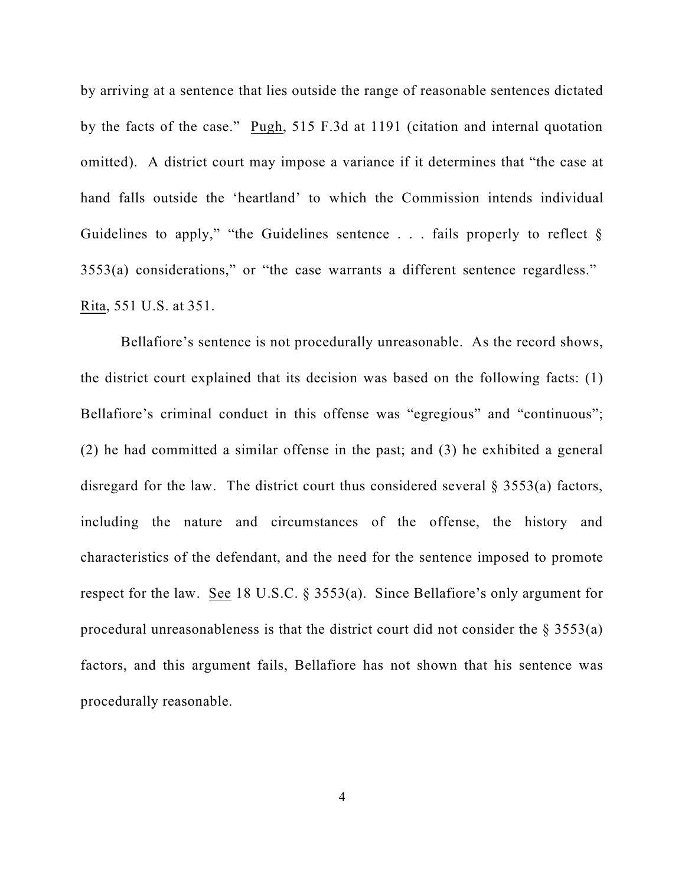by arriving at a sentence that lies outside the range of reasonable sentences dictated by the facts of the case." Pugh, 515 F.3d at 1191 (citation and internal quotation omitted). A district court may impose a variance if it determines that "the case at hand falls outside the 'heartland' to which the Commission intends individual Guidelines to apply," "the Guidelines sentence . . . fails properly to reflect § 3553(a) considerations," or "the case warrants a different sentence regardless." Rita, 551 U.S. at 351.

Bellafiore's sentence is not procedurally unreasonable. As the record shows, the district court explained that its decision was based on the following facts: (1) Bellafiore's criminal conduct in this offense was "egregious" and "continuous"; (2) he had committed a similar offense in the past; and (3) he exhibited a general disregard for the law. The district court thus considered several  $\S$  3553(a) factors, including the nature and circumstances of the offense, the history and characteristics of the defendant, and the need for the sentence imposed to promote respect for the law. See 18 U.S.C. § 3553(a). Since Bellafiore's only argument for procedural unreasonableness is that the district court did not consider the  $\S 3553(a)$ factors, and this argument fails, Bellafiore has not shown that his sentence was procedurally reasonable.